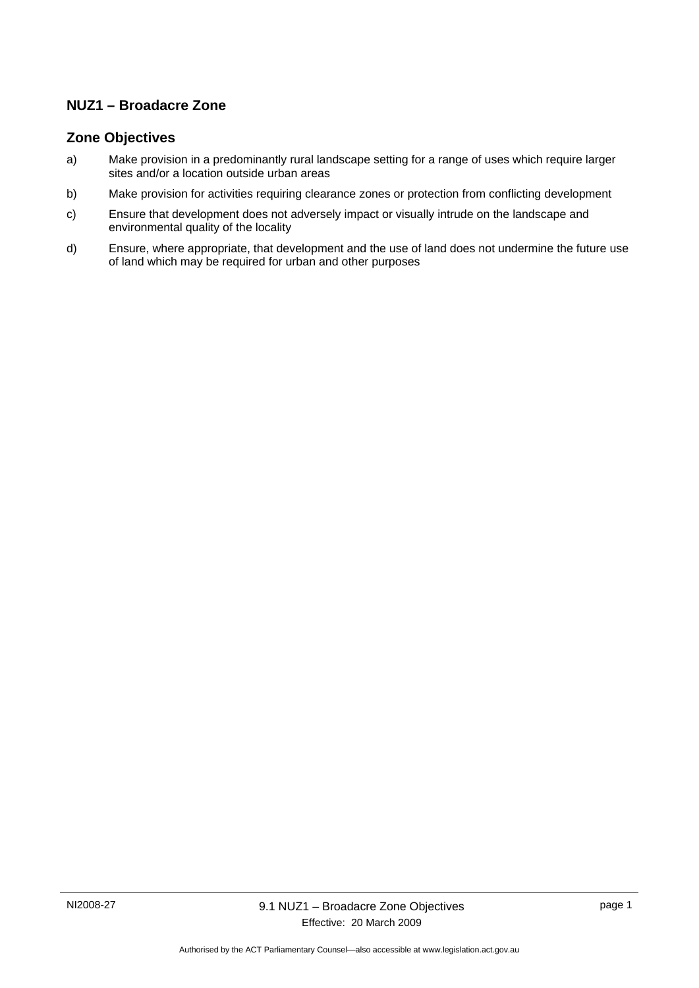## **NUZ1 – Broadacre Zone**

### **Zone Objectives**

- a) Make provision in a predominantly rural landscape setting for a range of uses which require larger sites and/or a location outside urban areas
- b) Make provision for activities requiring clearance zones or protection from conflicting development
- c) Ensure that development does not adversely impact or visually intrude on the landscape and environmental quality of the locality
- d) Ensure, where appropriate, that development and the use of land does not undermine the future use of land which may be required for urban and other purposes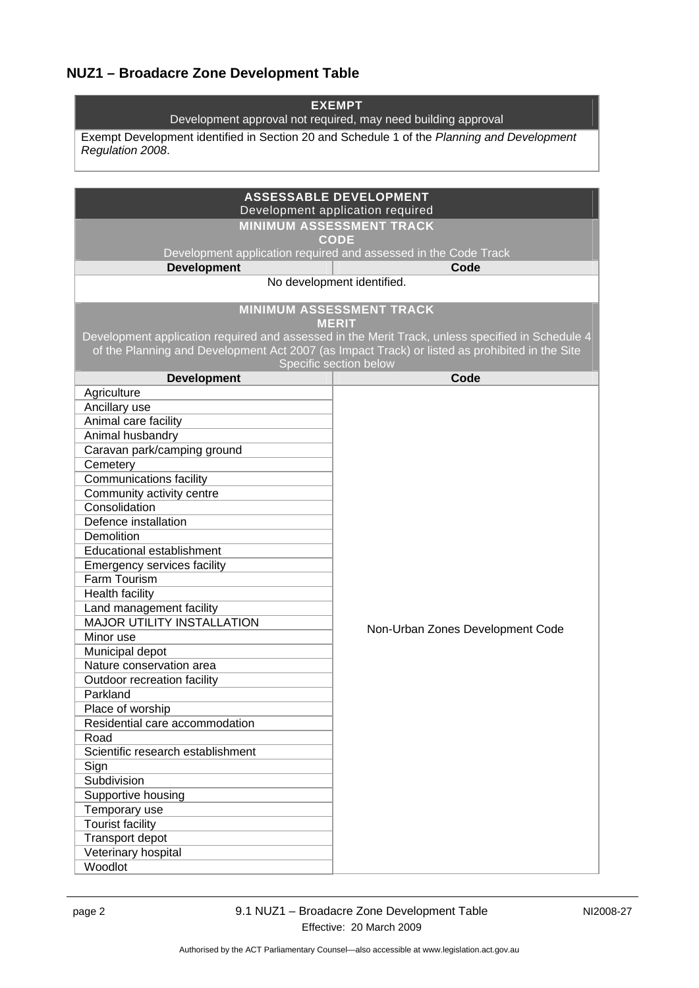# **NUZ1 – Broadacre Zone Development Table**

| <b>EXEMPT</b><br>Development approval not required, may need building approval             |                                                                                                  |  |
|--------------------------------------------------------------------------------------------|--------------------------------------------------------------------------------------------------|--|
| Exempt Development identified in Section 20 and Schedule 1 of the Planning and Development |                                                                                                  |  |
| Regulation 2008.                                                                           |                                                                                                  |  |
|                                                                                            |                                                                                                  |  |
|                                                                                            | <b>ASSESSABLE DEVELOPMENT</b>                                                                    |  |
|                                                                                            | Development application required                                                                 |  |
|                                                                                            | <b>MINIMUM ASSESSMENT TRACK</b>                                                                  |  |
|                                                                                            | <b>CODE</b>                                                                                      |  |
|                                                                                            | Development application required and assessed in the Code Track                                  |  |
| <b>Development</b>                                                                         | Code                                                                                             |  |
|                                                                                            | No development identified.                                                                       |  |
|                                                                                            |                                                                                                  |  |
|                                                                                            | <b>MINIMUM ASSESSMENT TRACK</b>                                                                  |  |
|                                                                                            | <b>MERIT</b>                                                                                     |  |
|                                                                                            | Development application required and assessed in the Merit Track, unless specified in Schedule 4 |  |
|                                                                                            | of the Planning and Development Act 2007 (as Impact Track) or listed as prohibited in the Site   |  |
| <b>Development</b>                                                                         | Specific section below<br>Code                                                                   |  |
| Agriculture                                                                                |                                                                                                  |  |
| Ancillary use                                                                              |                                                                                                  |  |
| Animal care facility                                                                       |                                                                                                  |  |
| Animal husbandry                                                                           |                                                                                                  |  |
| Caravan park/camping ground                                                                |                                                                                                  |  |
| Cemetery                                                                                   |                                                                                                  |  |
| <b>Communications facility</b>                                                             |                                                                                                  |  |
| Community activity centre                                                                  |                                                                                                  |  |
| Consolidation                                                                              |                                                                                                  |  |
| Defence installation                                                                       |                                                                                                  |  |
| Demolition                                                                                 |                                                                                                  |  |
| Educational establishment                                                                  |                                                                                                  |  |
| Emergency services facility                                                                |                                                                                                  |  |
| Farm Tourism                                                                               |                                                                                                  |  |
| Health facility                                                                            |                                                                                                  |  |
| Land management facility                                                                   |                                                                                                  |  |
| <b>MAJOR UTILITY INSTALLATION</b>                                                          | Non-Urban Zones Development Code                                                                 |  |
| Minor use                                                                                  |                                                                                                  |  |
| Municipal depot                                                                            |                                                                                                  |  |
| Nature conservation area                                                                   |                                                                                                  |  |
| Outdoor recreation facility                                                                |                                                                                                  |  |
| Parkland                                                                                   |                                                                                                  |  |
| Place of worship                                                                           |                                                                                                  |  |
| Residential care accommodation                                                             |                                                                                                  |  |
| Road<br>Scientific research establishment                                                  |                                                                                                  |  |
| Sign                                                                                       |                                                                                                  |  |
| Subdivision                                                                                |                                                                                                  |  |
| Supportive housing                                                                         |                                                                                                  |  |
| Temporary use                                                                              |                                                                                                  |  |
| <b>Tourist facility</b>                                                                    |                                                                                                  |  |
| Transport depot                                                                            |                                                                                                  |  |
| Veterinary hospital                                                                        |                                                                                                  |  |
| Woodlot                                                                                    |                                                                                                  |  |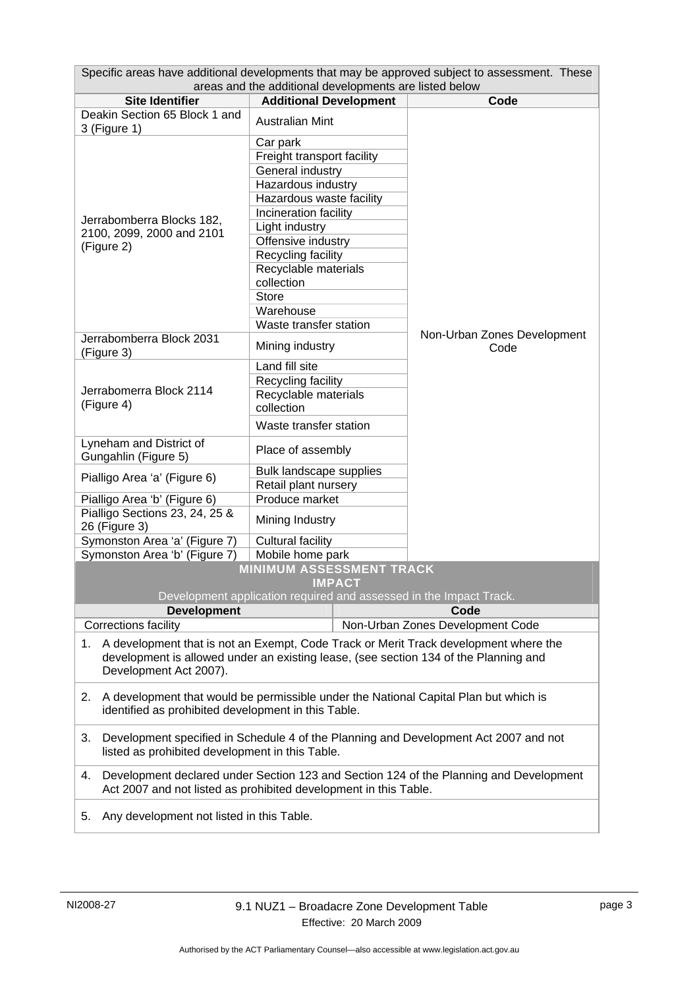| Specific areas have additional developments that may be approved subject to assessment. These                             |                                                                                      |                                     |  |  |
|---------------------------------------------------------------------------------------------------------------------------|--------------------------------------------------------------------------------------|-------------------------------------|--|--|
| areas and the additional developments are listed below<br><b>Site Identifier</b><br><b>Additional Development</b><br>Code |                                                                                      |                                     |  |  |
| Deakin Section 65 Block 1 and                                                                                             |                                                                                      |                                     |  |  |
| 3 (Figure 1)                                                                                                              | <b>Australian Mint</b>                                                               |                                     |  |  |
|                                                                                                                           | Car park                                                                             |                                     |  |  |
|                                                                                                                           | Freight transport facility                                                           |                                     |  |  |
|                                                                                                                           | General industry                                                                     |                                     |  |  |
|                                                                                                                           | Hazardous industry                                                                   |                                     |  |  |
|                                                                                                                           | Hazardous waste facility                                                             |                                     |  |  |
|                                                                                                                           | Incineration facility                                                                |                                     |  |  |
| Jerrabomberra Blocks 182,<br>2100, 2099, 2000 and 2101                                                                    | Light industry                                                                       |                                     |  |  |
| (Figure 2)                                                                                                                | Offensive industry                                                                   |                                     |  |  |
|                                                                                                                           | Recycling facility                                                                   |                                     |  |  |
|                                                                                                                           | Recyclable materials                                                                 |                                     |  |  |
|                                                                                                                           | collection                                                                           |                                     |  |  |
|                                                                                                                           | <b>Store</b>                                                                         |                                     |  |  |
|                                                                                                                           | Warehouse                                                                            |                                     |  |  |
|                                                                                                                           | Waste transfer station                                                               |                                     |  |  |
| Jerrabomberra Block 2031<br>(Figure 3)                                                                                    | Mining industry                                                                      | Non-Urban Zones Development<br>Code |  |  |
|                                                                                                                           | Land fill site                                                                       |                                     |  |  |
|                                                                                                                           | Recycling facility                                                                   |                                     |  |  |
| Jerrabomerra Block 2114                                                                                                   | Recyclable materials                                                                 |                                     |  |  |
| (Figure 4)                                                                                                                | collection                                                                           |                                     |  |  |
|                                                                                                                           | Waste transfer station                                                               |                                     |  |  |
| Lyneham and District of                                                                                                   | Place of assembly                                                                    |                                     |  |  |
| Gungahlin (Figure 5)                                                                                                      |                                                                                      |                                     |  |  |
| Pialligo Area 'a' (Figure 6)                                                                                              | Bulk landscape supplies                                                              |                                     |  |  |
|                                                                                                                           | Retail plant nursery                                                                 |                                     |  |  |
| Pialligo Area 'b' (Figure 6)                                                                                              | Produce market                                                                       |                                     |  |  |
| Pialligo Sections 23, 24, 25 &<br>26 (Figure 3)                                                                           | Mining Industry                                                                      |                                     |  |  |
| Symonston Area 'a' (Figure 7)                                                                                             | <b>Cultural facility</b>                                                             |                                     |  |  |
| Symonston Area 'b' (Figure 7)                                                                                             | Mobile home park                                                                     |                                     |  |  |
|                                                                                                                           | <b>MINIMUM ASSESSMENT TRACK</b>                                                      |                                     |  |  |
|                                                                                                                           | <b>IMPACT</b>                                                                        |                                     |  |  |
|                                                                                                                           | Development application required and assessed in the Impact Track.                   |                                     |  |  |
| <b>Development</b>                                                                                                        |                                                                                      | Code                                |  |  |
| Corrections facility                                                                                                      |                                                                                      | Non-Urban Zones Development Code    |  |  |
| A development that is not an Exempt, Code Track or Merit Track development where the<br>1.                                |                                                                                      |                                     |  |  |
| development is allowed under an existing lease, (see section 134 of the Planning and                                      |                                                                                      |                                     |  |  |
| Development Act 2007).                                                                                                    |                                                                                      |                                     |  |  |
|                                                                                                                           |                                                                                      |                                     |  |  |
| 2.<br>identified as prohibited development in this Table.                                                                 | A development that would be permissible under the National Capital Plan but which is |                                     |  |  |
|                                                                                                                           |                                                                                      |                                     |  |  |
| Development specified in Schedule 4 of the Planning and Development Act 2007 and not<br>3.                                |                                                                                      |                                     |  |  |
| listed as prohibited development in this Table.                                                                           |                                                                                      |                                     |  |  |
| Development declared under Section 123 and Section 124 of the Planning and Development<br>4.                              |                                                                                      |                                     |  |  |
| Act 2007 and not listed as prohibited development in this Table.                                                          |                                                                                      |                                     |  |  |
| Any development not listed in this Table.<br>5.                                                                           |                                                                                      |                                     |  |  |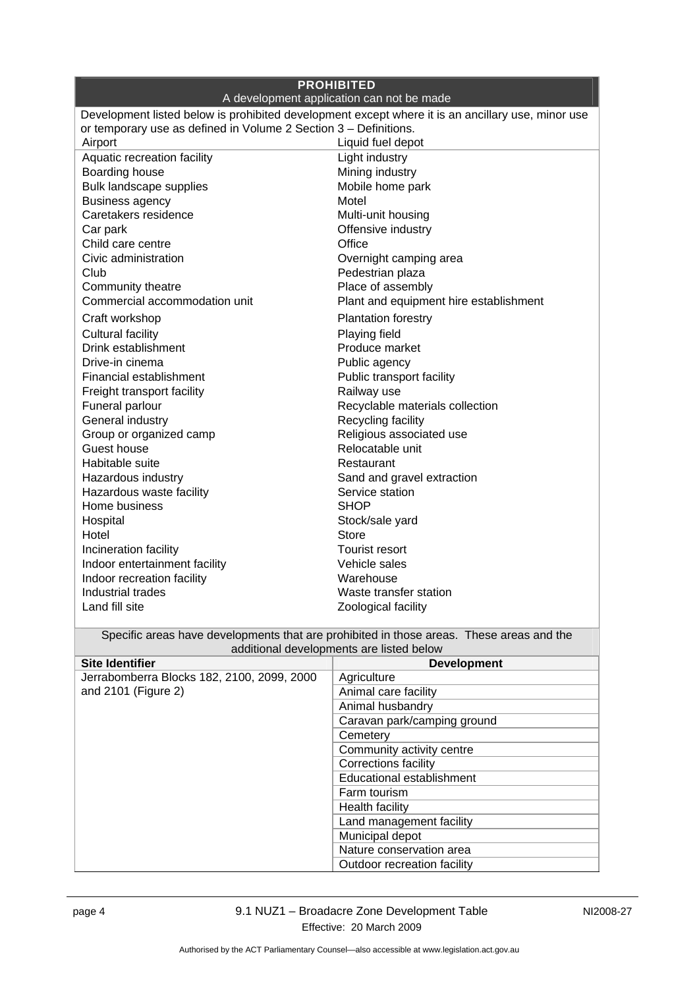| <b>PROHIBITED</b><br>A development application can not be made                                    |                                                                                                                                      |  |  |
|---------------------------------------------------------------------------------------------------|--------------------------------------------------------------------------------------------------------------------------------------|--|--|
| Development listed below is prohibited development except where it is an ancillary use, minor use |                                                                                                                                      |  |  |
| or temporary use as defined in Volume 2 Section 3 - Definitions.                                  |                                                                                                                                      |  |  |
| Airport                                                                                           | Liquid fuel depot                                                                                                                    |  |  |
| Aquatic recreation facility                                                                       | Light industry                                                                                                                       |  |  |
| Boarding house                                                                                    | Mining industry                                                                                                                      |  |  |
| Bulk landscape supplies                                                                           | Mobile home park                                                                                                                     |  |  |
| <b>Business agency</b>                                                                            | Motel                                                                                                                                |  |  |
| Caretakers residence                                                                              | Multi-unit housing                                                                                                                   |  |  |
| Car park                                                                                          | Offensive industry                                                                                                                   |  |  |
| Child care centre                                                                                 | Office                                                                                                                               |  |  |
| Civic administration                                                                              | Overnight camping area                                                                                                               |  |  |
| Club                                                                                              | Pedestrian plaza                                                                                                                     |  |  |
| Community theatre                                                                                 | Place of assembly                                                                                                                    |  |  |
| Commercial accommodation unit                                                                     | Plant and equipment hire establishment                                                                                               |  |  |
| Craft workshop                                                                                    | <b>Plantation forestry</b>                                                                                                           |  |  |
| <b>Cultural facility</b>                                                                          | Playing field                                                                                                                        |  |  |
| Drink establishment                                                                               | Produce market                                                                                                                       |  |  |
| Drive-in cinema                                                                                   | Public agency                                                                                                                        |  |  |
| Financial establishment                                                                           | Public transport facility                                                                                                            |  |  |
| Freight transport facility                                                                        | Railway use                                                                                                                          |  |  |
| Funeral parlour                                                                                   | Recyclable materials collection                                                                                                      |  |  |
| General industry                                                                                  | Recycling facility                                                                                                                   |  |  |
| Group or organized camp                                                                           | Religious associated use                                                                                                             |  |  |
| Guest house                                                                                       | Relocatable unit                                                                                                                     |  |  |
| Habitable suite                                                                                   | Restaurant                                                                                                                           |  |  |
| Hazardous industry                                                                                | Sand and gravel extraction                                                                                                           |  |  |
| Hazardous waste facility                                                                          | Service station                                                                                                                      |  |  |
| Home business                                                                                     | <b>SHOP</b>                                                                                                                          |  |  |
| Hospital                                                                                          | Stock/sale yard                                                                                                                      |  |  |
| Hotel                                                                                             | <b>Store</b>                                                                                                                         |  |  |
| Incineration facility                                                                             | <b>Tourist resort</b>                                                                                                                |  |  |
| Indoor entertainment facility                                                                     | Vehicle sales                                                                                                                        |  |  |
| Indoor recreation facility                                                                        | Warehouse                                                                                                                            |  |  |
| Industrial trades                                                                                 | Waste transfer station                                                                                                               |  |  |
| Land fill site                                                                                    | Zoological facility                                                                                                                  |  |  |
|                                                                                                   |                                                                                                                                      |  |  |
|                                                                                                   | Specific areas have developments that are prohibited in those areas. These areas and the<br>additional developments are listed below |  |  |
| <b>Site Identifier</b>                                                                            | <b>Development</b>                                                                                                                   |  |  |
| Jerrabomberra Blocks 182, 2100, 2099, 2000                                                        | Agriculture                                                                                                                          |  |  |
| and 2101 (Figure 2)                                                                               | Animal care facility                                                                                                                 |  |  |
|                                                                                                   | Animal husbandry                                                                                                                     |  |  |
|                                                                                                   | Caravan park/camping ground                                                                                                          |  |  |
|                                                                                                   | Cemetery                                                                                                                             |  |  |
|                                                                                                   | Community activity centre                                                                                                            |  |  |
|                                                                                                   | Corrections facility                                                                                                                 |  |  |
|                                                                                                   | Educational establishment                                                                                                            |  |  |
|                                                                                                   | Farm tourism                                                                                                                         |  |  |
|                                                                                                   | Health facility                                                                                                                      |  |  |
|                                                                                                   | Land management facility                                                                                                             |  |  |
|                                                                                                   | Municipal depot                                                                                                                      |  |  |
|                                                                                                   | Nature conservation area                                                                                                             |  |  |
|                                                                                                   | Outdoor recreation facility                                                                                                          |  |  |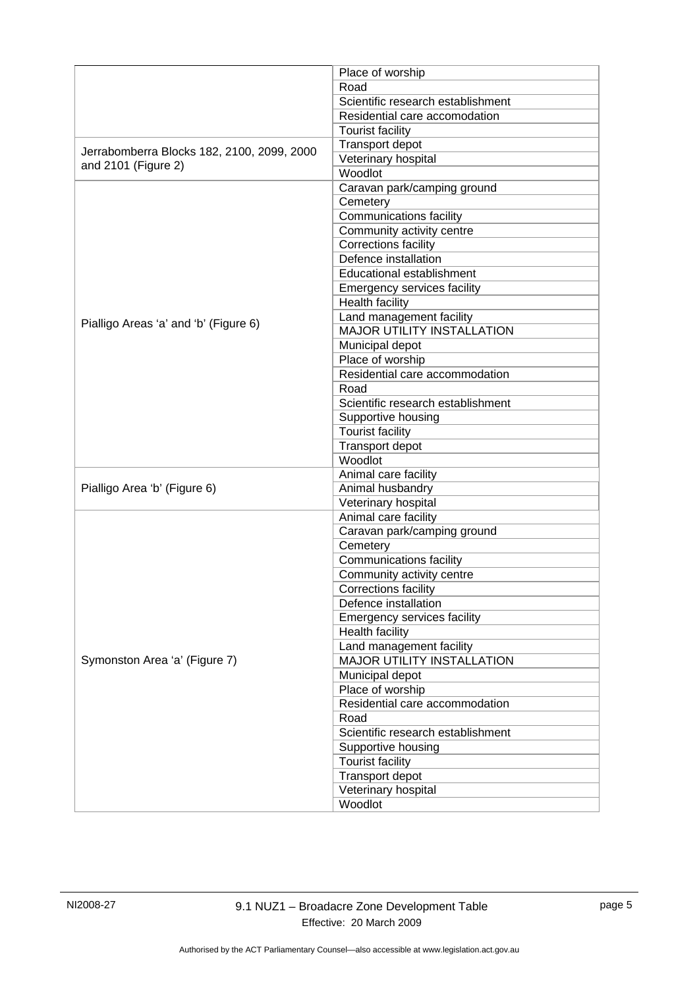|                                                                   | Place of worship                   |
|-------------------------------------------------------------------|------------------------------------|
|                                                                   | Road                               |
|                                                                   | Scientific research establishment  |
|                                                                   | Residential care accomodation      |
|                                                                   | <b>Tourist facility</b>            |
|                                                                   | Transport depot                    |
| Jerrabomberra Blocks 182, 2100, 2099, 2000<br>and 2101 (Figure 2) | Veterinary hospital                |
|                                                                   | Woodlot                            |
|                                                                   | Caravan park/camping ground        |
|                                                                   | Cemetery                           |
|                                                                   | Communications facility            |
|                                                                   | Community activity centre          |
|                                                                   | Corrections facility               |
|                                                                   | Defence installation               |
|                                                                   | Educational establishment          |
|                                                                   | <b>Emergency services facility</b> |
|                                                                   | <b>Health facility</b>             |
|                                                                   | Land management facility           |
| Pialligo Areas 'a' and 'b' (Figure 6)                             | <b>MAJOR UTILITY INSTALLATION</b>  |
|                                                                   | Municipal depot                    |
|                                                                   | Place of worship                   |
|                                                                   | Residential care accommodation     |
|                                                                   | Road                               |
|                                                                   | Scientific research establishment  |
|                                                                   | Supportive housing                 |
|                                                                   | <b>Tourist facility</b>            |
|                                                                   | Transport depot                    |
|                                                                   | Woodlot                            |
|                                                                   | Animal care facility               |
| Pialligo Area 'b' (Figure 6)                                      | Animal husbandry                   |
|                                                                   | Veterinary hospital                |
|                                                                   | Animal care facility               |
|                                                                   | Caravan park/camping ground        |
|                                                                   | Cemetery                           |
|                                                                   | <b>Communications facility</b>     |
|                                                                   | Community activity centre          |
|                                                                   | Corrections facility               |
|                                                                   | Defence installation               |
|                                                                   | <b>Emergency services facility</b> |
|                                                                   | Health facility                    |
| Symonston Area 'a' (Figure 7)                                     | Land management facility           |
|                                                                   | MAJOR UTILITY INSTALLATION         |
|                                                                   | Municipal depot                    |
|                                                                   | Place of worship                   |
|                                                                   | Residential care accommodation     |
|                                                                   | Road                               |
|                                                                   | Scientific research establishment  |
|                                                                   | Supportive housing                 |
|                                                                   | <b>Tourist facility</b>            |
|                                                                   | Transport depot                    |
|                                                                   | Veterinary hospital                |
|                                                                   | Woodlot                            |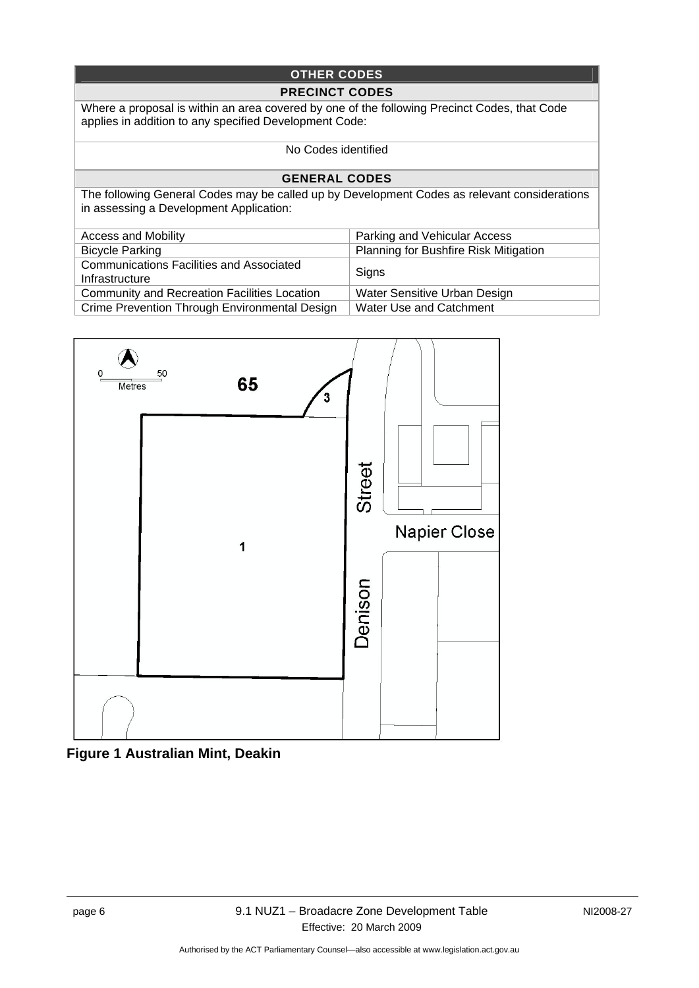### **OTHER CODES**

#### **PRECINCT CODES**

Where a proposal is within an area covered by one of the following Precinct Codes, that Code applies in addition to any specified Development Code:

#### No Codes identified

#### **GENERAL CODES**

The following General Codes may be called up by Development Codes as relevant considerations in assessing a Development Application:

| <b>Access and Mobility</b>                                        | Parking and Vehicular Access                 |
|-------------------------------------------------------------------|----------------------------------------------|
| <b>Bicycle Parking</b>                                            | <b>Planning for Bushfire Risk Mitigation</b> |
| <b>Communications Facilities and Associated</b><br>Infrastructure | Signs                                        |
| <b>Community and Recreation Facilities Location</b>               | Water Sensitive Urban Design                 |
| Crime Prevention Through Environmental Design                     | Water Use and Catchment                      |



**Figure 1 Australian Mint, Deakin**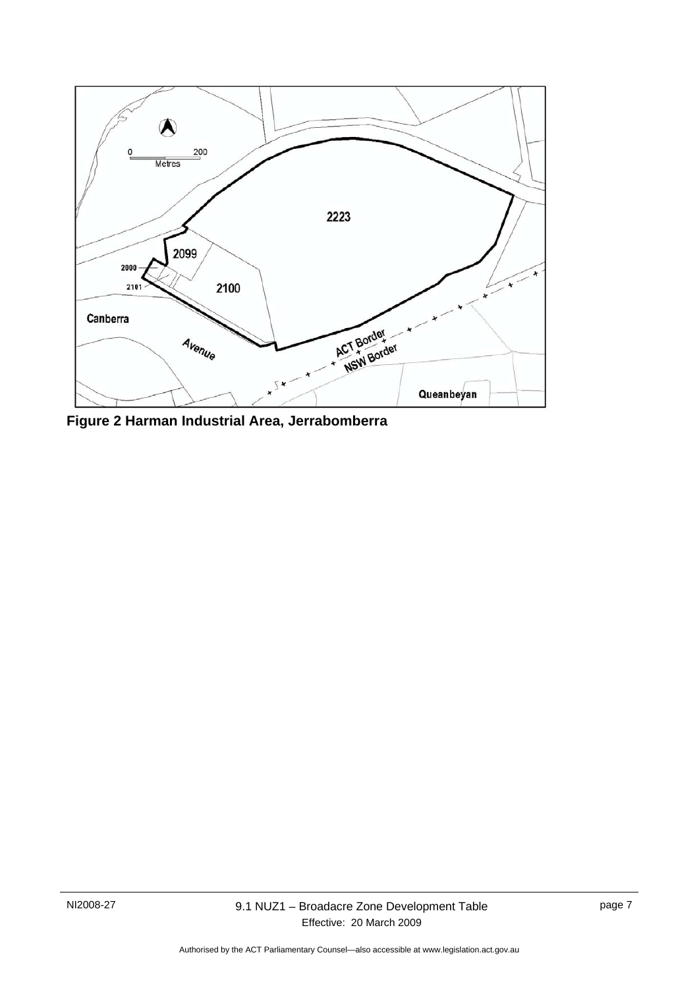

**Figure 2 Harman Industrial Area, Jerrabomberra**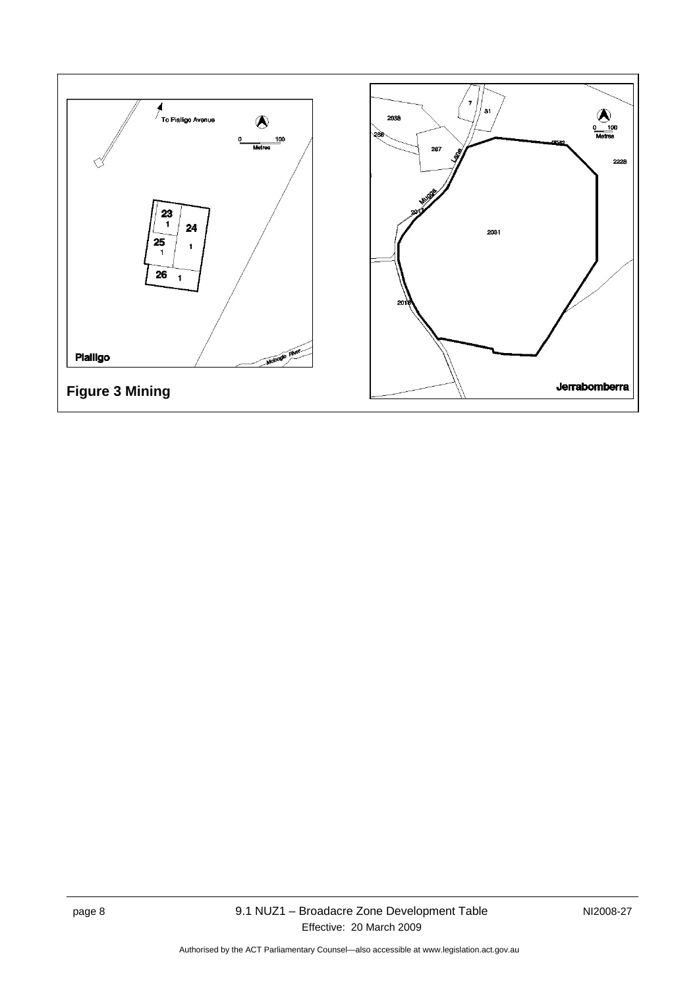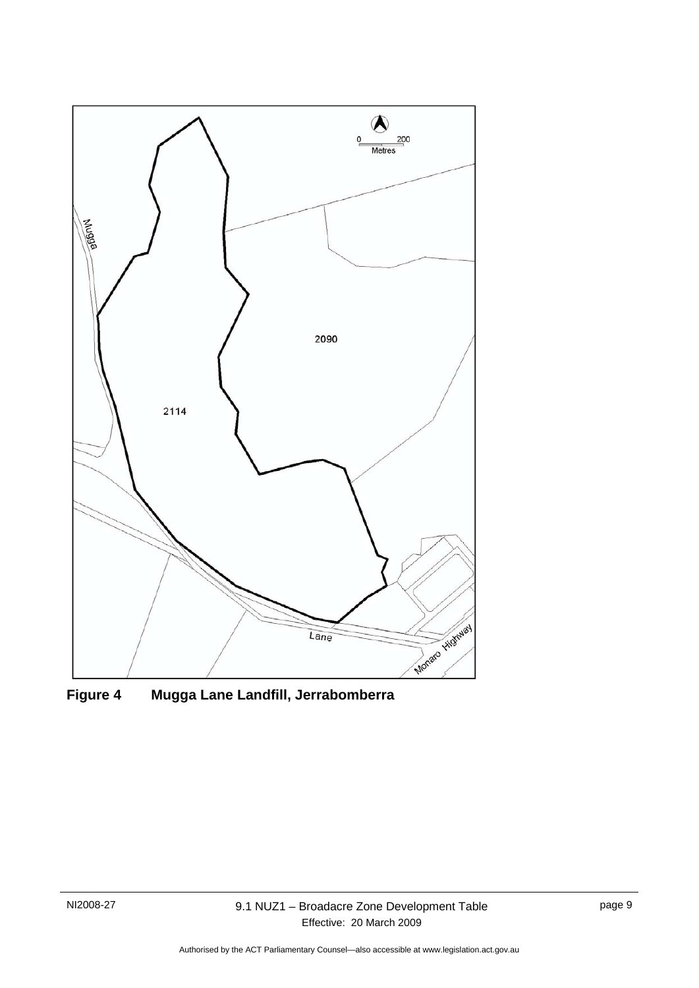

**Figure 4 Mugga Lane Landfill, Jerrabomberra**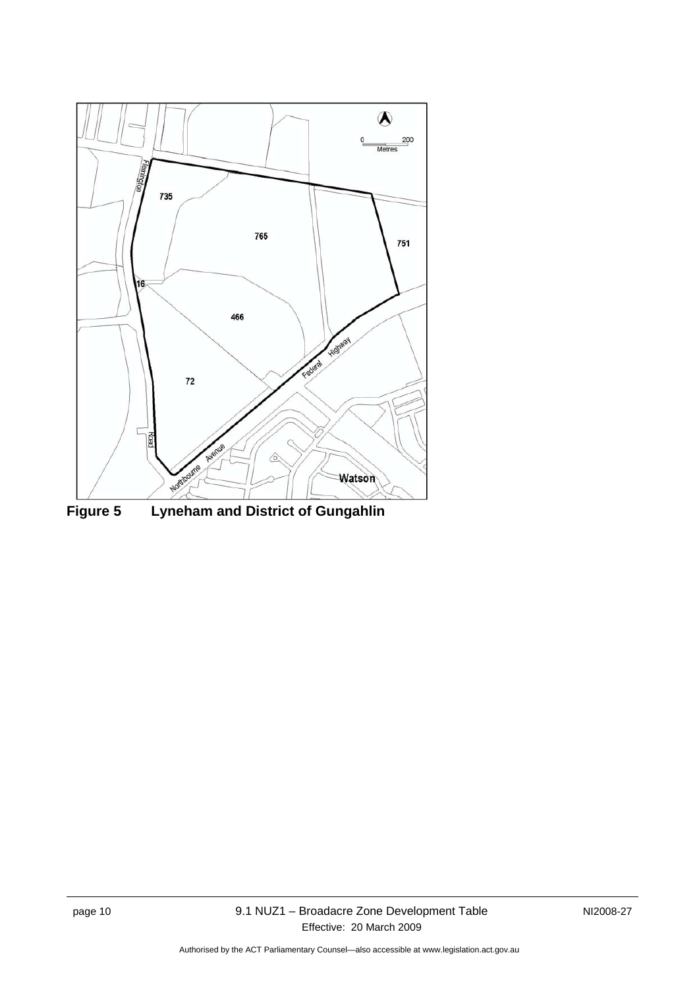